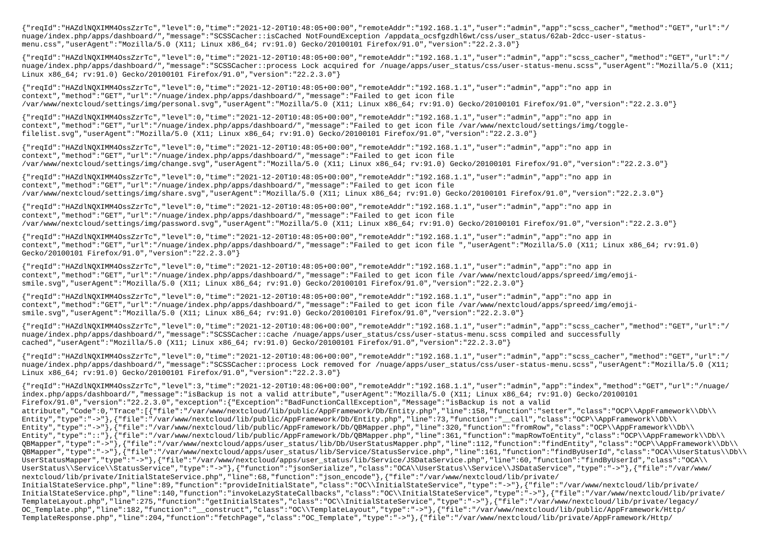{"reqId":"HAZdlNQXIMM4OssZzrTc","level":0,"time":"2021-12-20T10:48:05+00:00","remoteAddr":"192.168.1.1","user":"admin","app":"scss\_cacher","method":"GET","url":"/ nuage/index.php/apps/dashboard/","message":"SCSSCacher::isCached NotFoundException /appdata\_ocsfgzdhl6wt/css/user\_status/62ab-2dcc-user-statusmenu.css","userAgent":"Mozilla/5.0 (X11; Linux x86\_64; rv:91.0) Gecko/20100101 Firefox/91.0","version":"22.2.3.0"}

{"reqId":"HAZdlNQXIMM4OssZzrTc","level":0,"time":"2021-12-20T10:48:05+00:00","remoteAddr":"192.168.1.1","user":"admin","app":"scss\_cacher","method":"GET","url":"/ nuage/index.php/apps/dashboard/","message":"SCSSCacher::process Lock acquired for /nuage/apps/user status/css/user-status-menu.scss","userAgent":"Mozilla/5.0 (X11; Linux x86\_64; rv:91.0) Gecko/20100101 Firefox/91.0","version":"22.2.3.0"}

{"reqId":"HAZdlNQXIMM4OssZzrTc","level":0,"time":"2021-12-20T10:48:05+00:00","remoteAddr":"192.168.1.1","user":"admin","app":"no app in context","method":"GET","url":"/nuage/index.php/apps/dashboard/","message":"Failed to get icon file /var/www/nextcloud/settings/img/personal.svg","userAgent":"Mozilla/5.0 (X11; Linux x86\_64; rv:91.0) Gecko/20100101 Firefox/91.0","version":"22.2.3.0"}

{"reqId":"HAZdlNQXIMM4OssZzrTc","level":0,"time":"2021-12-20T10:48:05+00:00","remoteAddr":"192.168.1.1","user":"admin","app":"no app in context","method":"GET","url":"/nuage/index.php/apps/dashboard/","message":"Failed to get icon file /var/www/nextcloud/settings/img/togglefilelist.svg","userAgent":"Mozilla/5.0 (X11; Linux x86\_64; rv:91.0) Gecko/20100101 Firefox/91.0","version":"22.2.3.0"}

{"reqId":"HAZdlNQXIMM4OssZzrTc","level":0,"time":"2021-12-20T10:48:05+00:00","remoteAddr":"192.168.1.1","user":"admin","app":"no app in context","method":"GET","url":"/nuage/index.php/apps/dashboard/","message":"Failed to get icon file /var/www/nextcloud/settings/img/change.svg","userAgent":"Mozilla/5.0 (X11; Linux x86\_64; rv:91.0) Gecko/20100101 Firefox/91.0","version":"22.2.3.0"}

{"reqId":"HAZdlNQXIMM4OssZzrTc","level":0,"time":"2021-12-20T10:48:05+00:00","remoteAddr":"192.168.1.1","user":"admin","app":"no app in context","method":"GET","url":"/nuage/index.php/apps/dashboard/","message":"Failed to get icon file /var/www/nextcloud/settings/img/share.svg","userAgent":"Mozilla/5.0 (X11; Linux x86\_64; rv:91.0) Gecko/20100101 Firefox/91.0","version":"22.2.3.0"}

{"reqId":"HAZdlNQXIMM4OssZzrTc","level":0,"time":"2021-12-20T10:48:05+00:00","remoteAddr":"192.168.1.1","user":"admin","app":"no app in context","method":"GET","url":"/nuage/index.php/apps/dashboard/","message":"Failed to get icon file /var/www/nextcloud/settings/img/password.svg","userAgent":"Mozilla/5.0 (X11; Linux x86\_64; rv:91.0) Gecko/20100101 Firefox/91.0","version":"22.2.3.0"}

{"reqId":"HAZdlNQXIMM4OssZzrTc","level":0,"time":"2021-12-20T10:48:05+00:00","remoteAddr":"192.168.1.1","user":"admin","app":"no app in context","method":"GET","url":"/nuage/index.php/apps/dashboard/","message":"Failed to get icon file ","userAgent":"Mozilla/5.0 (X11; Linux x86\_64; rv:91.0) Gecko/20100101 Firefox/91.0","version":"22.2.3.0"}

{"reqId":"HAZdlNQXIMM4OssZzrTc","level":0,"time":"2021-12-20T10:48:05+00:00","remoteAddr":"192.168.1.1","user":"admin","app":"no app in context","method":"GET","url":"/nuage/index.php/apps/dashboard/","message":"Failed to get icon file /var/www/nextcloud/apps/spreed/img/emojismile.svg","userAgent":"Mozilla/5.0 (X11; Linux x86\_64; rv:91.0) Gecko/20100101 Firefox/91.0","version":"22.2.3.0"}

{"reqId":"HAZdlNQXIMM4OssZzrTc","level":0,"time":"2021-12-20T10:48:05+00:00","remoteAddr":"192.168.1.1","user":"admin","app":"no app in context","method":"GET","url":"/nuage/index.php/apps/dashboard/","message":"Failed to get icon file /var/www/nextcloud/apps/spreed/img/emojismile.svg","userAgent":"Mozilla/5.0 (X11; Linux x86\_64; rv:91.0) Gecko/20100101 Firefox/91.0","version":"22.2.3.0"}

{"reqId":"HAZdlNQXIMM4OssZzrTc","level":0,"time":"2021-12-20T10:48:06+00:00","remoteAddr":"192.168.1.1","user":"admin","app":"scss\_cacher","method":"GET","url":"/ nuage/index.php/apps/dashboard/","message":"SCSSCacher::cache /nuage/apps/user\_status/css/user-status-menu.scss compiled and successfully cached","userAgent":"Mozilla/5.0 (X11; Linux x86\_64; rv:91.0) Gecko/20100101 Firefox/91.0","version":"22.2.3.0"}

{"reqId":"HAZdlNQXIMM4OssZzrTc","level":0,"time":"2021-12-20T10:48:06+00:00","remoteAddr":"192.168.1.1","user":"admin","app":"scss\_cacher","method":"GET","url":"/ nuage/index.php/apps/dashboard/","message":"SCSSCacher::process Lock removed for /nuage/apps/user\_status/css/user-status-menu.scss","userAgent":"Mozilla/5.0 (X11; Linux x86\_64; rv:91.0) Gecko/20100101 Firefox/91.0","version":"22.2.3.0"}

{"reqId":"HAZdlNQXIMM4OssZzrTc","level":3,"time":"2021-12-20T10:48:06+00:00","remoteAddr":"192.168.1.1","user":"admin","app":"index","method":"GET","url":"/nuage/ index.php/apps/dashboard/","message":"isBackup is not a valid attribute","userAgent":"Mozilla/5.0 (X11; Linux x86\_64; rv:91.0) Gecko/20100101 Firefox/91.0","version":"22.2.3.0","exception":{"Exception":"BadFunctionCallException","Message":"isBackup is not a valid attribute","Code":0,"Trace":[{"file":"/var/www/nextcloud/lib/public/AppFramework/Db/Entity.php","line":158,"function":"setter","class":"OCP\\AppFramework\\Db\\ Entity","type":"->"},{"file":"/var/www/nextcloud/lib/public/AppFramework/Db/Entity.php","line":73,"function":"\_\_call","class":"OCP\\AppFramework\\Db\\ Entity","type":"->"},{"file":"/var/www/nextcloud/lib/public/AppFramework/Db/QBMapper.php","line":320,"function":"fromRow","class":"OCP\\AppFramework\\Db\\ Entity","type":"::"},{"file":"/var/www/nextcloud/lib/public/AppFramework/Db/QBMapper.php","line":361,"function":"mapRowToEntity","class":"OCP\\AppFramework\\Db\\ QBMapper","type":"->"},{"file":"/var/www/nextcloud/apps/user\_status/lib/Db/UserStatusMapper.php","line":112,"function":"findEntity","class":"OCP\\AppFramework\\Db\\ QBMapper","type":"->"},{"file":"/var/www/nextcloud/apps/user\_status/lib/Service/StatusService.php","line":161,"function":"findByUserId","class":"OCA\\UserStatus\\Db\\ UserStatusMapper","type":"->"},{"file":"/var/www/nextcloud/apps/user\_status/lib/Service/JSDataService.php","line":60,"function":"findByUserId","class":"OCA\\ UserStatus\\Service\\StatusService","type":"->"},{"function":"jsonSerialize","class":"OCA\\UserStatus\\Service\\JSDataService","type":"->"},{"file":"/var/www/ nextcloud/lib/private/InitialStateService.php","line":68,"function":"json\_encode"},{"file":"/var/www/nextcloud/lib/private/ InitialStateService.php","line":89,"function":"provideInitialState","class":"OC\\InitialStateService","type":"->"},{"file":"/var/www/nextcloud/lib/private/ InitialStateService.php","line":140,"function":"invokeLazyStateCallbacks","class":"OC\\InitialStateService","type":"->"},{"file":"/var/www/nextcloud/lib/private/ TemplateLayout.php","line":275,"function":"getInitialStates","class":"OC\\InitialStateService","type":"->"},{"file":"/var/www/nextcloud/lib/private/legacy/ OC\_Template.php","line":182,"function":"\_\_construct","class":"OC\\TemplateLayout","type":"->"},{"file":"/var/www/nextcloud/lib/public/AppFramework/Http/ TemplateResponse.php","line":204,"function":"fetchPage","class":"OC\_Template","type":"->"},{"file":"/var/www/nextcloud/lib/private/AppFramework/Http/